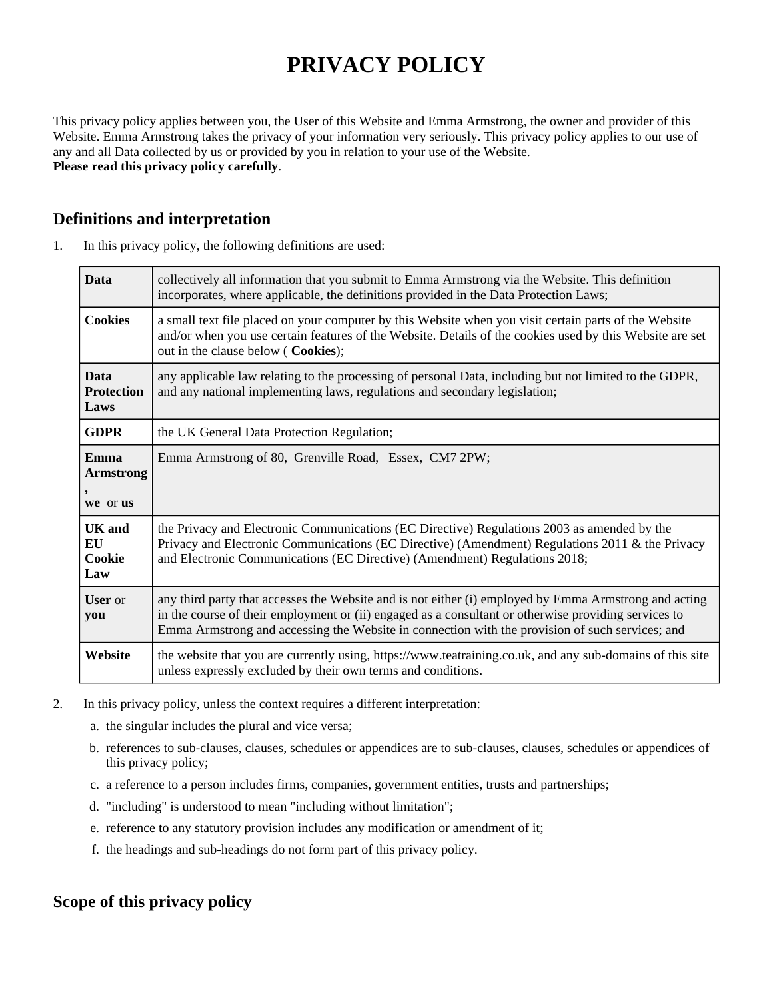# **PRIVACY POLICY**

This privacy policy applies between you, the User of this Website and Emma Armstrong, the owner and provider of this Website. Emma Armstrong takes the privacy of your information very seriously. This privacy policy applies to our use of any and all Data collected by us or provided by you in relation to your use of the Website. **Please read this privacy policy carefully**.

## **Definitions and interpretation**

| <b>Data</b>                              | collectively all information that you submit to Emma Armstrong via the Website. This definition<br>incorporates, where applicable, the definitions provided in the Data Protection Laws;                                                                                                                         |  |
|------------------------------------------|------------------------------------------------------------------------------------------------------------------------------------------------------------------------------------------------------------------------------------------------------------------------------------------------------------------|--|
| <b>Cookies</b>                           | a small text file placed on your computer by this Website when you visit certain parts of the Website<br>and/or when you use certain features of the Website. Details of the cookies used by this Website are set<br>out in the clause below ( Cookies);                                                         |  |
| <b>Data</b><br><b>Protection</b><br>Laws | any applicable law relating to the processing of personal Data, including but not limited to the GDPR,<br>and any national implementing laws, regulations and secondary legislation;                                                                                                                             |  |
| <b>GDPR</b>                              | the UK General Data Protection Regulation;                                                                                                                                                                                                                                                                       |  |
| Emma<br><b>Armstrong</b><br>we or us     | Emma Armstrong of 80, Grenville Road, Essex, CM7 2PW;                                                                                                                                                                                                                                                            |  |
| UK and<br>EU<br>Cookie<br>Law            | the Privacy and Electronic Communications (EC Directive) Regulations 2003 as amended by the<br>Privacy and Electronic Communications (EC Directive) (Amendment) Regulations 2011 & the Privacy<br>and Electronic Communications (EC Directive) (Amendment) Regulations 2018;                                     |  |
| <b>User</b> or<br>you                    | any third party that accesses the Website and is not either (i) employed by Emma Armstrong and acting<br>in the course of their employment or (ii) engaged as a consultant or otherwise providing services to<br>Emma Armstrong and accessing the Website in connection with the provision of such services; and |  |
| Website                                  | the website that you are currently using, https://www.teatraining.co.uk, and any sub-domains of this site<br>unless expressly excluded by their own terms and conditions.                                                                                                                                        |  |

1. In this privacy policy, the following definitions are used:

- 2. In this privacy policy, unless the context requires a different interpretation:
	- a. the singular includes the plural and vice versa;
	- b. references to sub-clauses, clauses, schedules or appendices are to sub-clauses, clauses, schedules or appendices of this privacy policy;
	- c. a reference to a person includes firms, companies, government entities, trusts and partnerships;
	- d. "including" is understood to mean "including without limitation";
	- e. reference to any statutory provision includes any modification or amendment of it;
	- f. the headings and sub-headings do not form part of this privacy policy.

## **Scope of this privacy policy**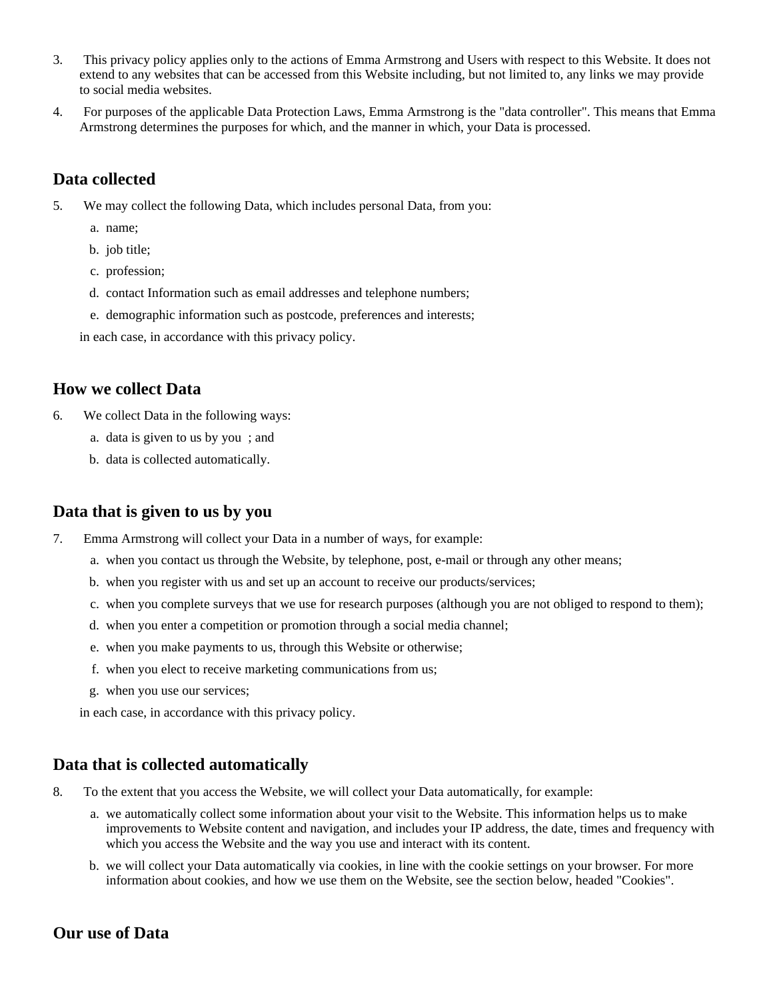- 3. This privacy policy applies only to the actions of Emma Armstrong and Users with respect to this Website. It does not extend to any websites that can be accessed from this Website including, but not limited to, any links we may provide to social media websites.
- 4. For purposes of the applicable Data Protection Laws, Emma Armstrong is the "data controller". This means that Emma Armstrong determines the purposes for which, and the manner in which, your Data is processed.

## **Data collected**

- 5. We may collect the following Data, which includes personal Data, from you:
	- a. name;
	- b. job title;
	- c. profession;
	- d. contact Information such as email addresses and telephone numbers;
	- e. demographic information such as postcode, preferences and interests;

in each case, in accordance with this privacy policy.

#### **How we collect Data**

- 6. We collect Data in the following ways:
	- a. data is given to us by you ; and
	- b. data is collected automatically.

## **Data that is given to us by you**

- 7. Emma Armstrong will collect your Data in a number of ways, for example:
	- a. when you contact us through the Website, by telephone, post, e-mail or through any other means;
	- b. when you register with us and set up an account to receive our products/services;
	- c. when you complete surveys that we use for research purposes (although you are not obliged to respond to them);
	- d. when you enter a competition or promotion through a social media channel;
	- e. when you make payments to us, through this Website or otherwise;
	- f. when you elect to receive marketing communications from us;
	- g. when you use our services;

in each case, in accordance with this privacy policy.

## **Data that is collected automatically**

- 8. To the extent that you access the Website, we will collect your Data automatically, for example:
	- a. we automatically collect some information about your visit to the Website. This information helps us to make improvements to Website content and navigation, and includes your IP address, the date, times and frequency with which you access the Website and the way you use and interact with its content.
	- b. we will collect your Data automatically via cookies, in line with the cookie settings on your browser. For more information about cookies, and how we use them on the Website, see the section below, headed "Cookies".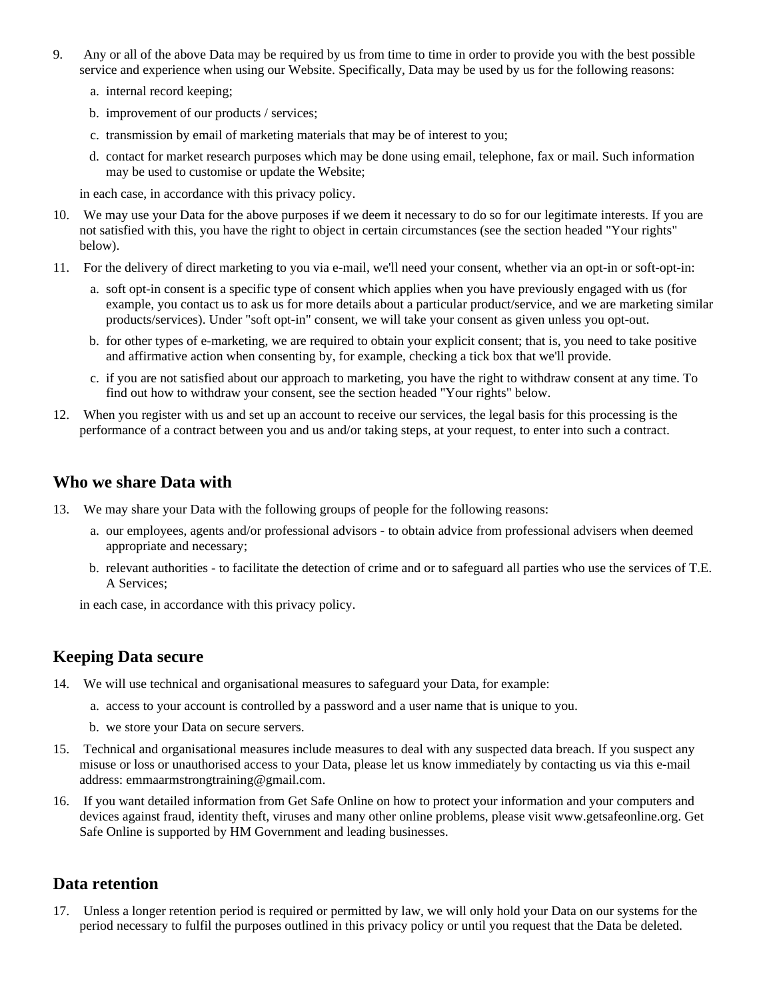- 9. Any or all of the above Data may be required by us from time to time in order to provide you with the best possible service and experience when using our Website. Specifically, Data may be used by us for the following reasons:
	- a. internal record keeping;
	- b. improvement of our products / services;
	- c. transmission by email of marketing materials that may be of interest to you;
	- d. contact for market research purposes which may be done using email, telephone, fax or mail. Such information may be used to customise or update the Website;

in each case, in accordance with this privacy policy.

- 10. We may use your Data for the above purposes if we deem it necessary to do so for our legitimate interests. If you are not satisfied with this, you have the right to object in certain circumstances (see the section headed "Your rights" below).
- 11. For the delivery of direct marketing to you via e-mail, we'll need your consent, whether via an opt-in or soft-opt-in:
	- a. soft opt-in consent is a specific type of consent which applies when you have previously engaged with us (for example, you contact us to ask us for more details about a particular product/service, and we are marketing similar products/services). Under "soft opt-in" consent, we will take your consent as given unless you opt-out.
	- b. for other types of e-marketing, we are required to obtain your explicit consent; that is, you need to take positive and affirmative action when consenting by, for example, checking a tick box that we'll provide.
	- c. if you are not satisfied about our approach to marketing, you have the right to withdraw consent at any time. To find out how to withdraw your consent, see the section headed "Your rights" below.
- 12. When you register with us and set up an account to receive our services, the legal basis for this processing is the performance of a contract between you and us and/or taking steps, at your request, to enter into such a contract.

### **Who we share Data with**

- 13. We may share your Data with the following groups of people for the following reasons:
	- a. our employees, agents and/or professional advisors to obtain advice from professional advisers when deemed appropriate and necessary;
	- b. relevant authorities to facilitate the detection of crime and or to safeguard all parties who use the services of T.E. A Services;

in each case, in accordance with this privacy policy.

## **Keeping Data secure**

- 14. We will use technical and organisational measures to safeguard your Data, for example:
	- a. access to your account is controlled by a password and a user name that is unique to you.
	- b. we store your Data on secure servers.
- 15. Technical and organisational measures include measures to deal with any suspected data breach. If you suspect any misuse or loss or unauthorised access to your Data, please let us know immediately by contacting us via this e-mail address: emmaarmstrongtraining@gmail.com.
- 16. If you want detailed information from Get Safe Online on how to protect your information and your computers and devices against fraud, identity theft, viruses and many other online problems, please visit www.getsafeonline.org. Get Safe Online is supported by HM Government and leading businesses.

#### **Data retention**

17. Unless a longer retention period is required or permitted by law, we will only hold your Data on our systems for the period necessary to fulfil the purposes outlined in this privacy policy or until you request that the Data be deleted.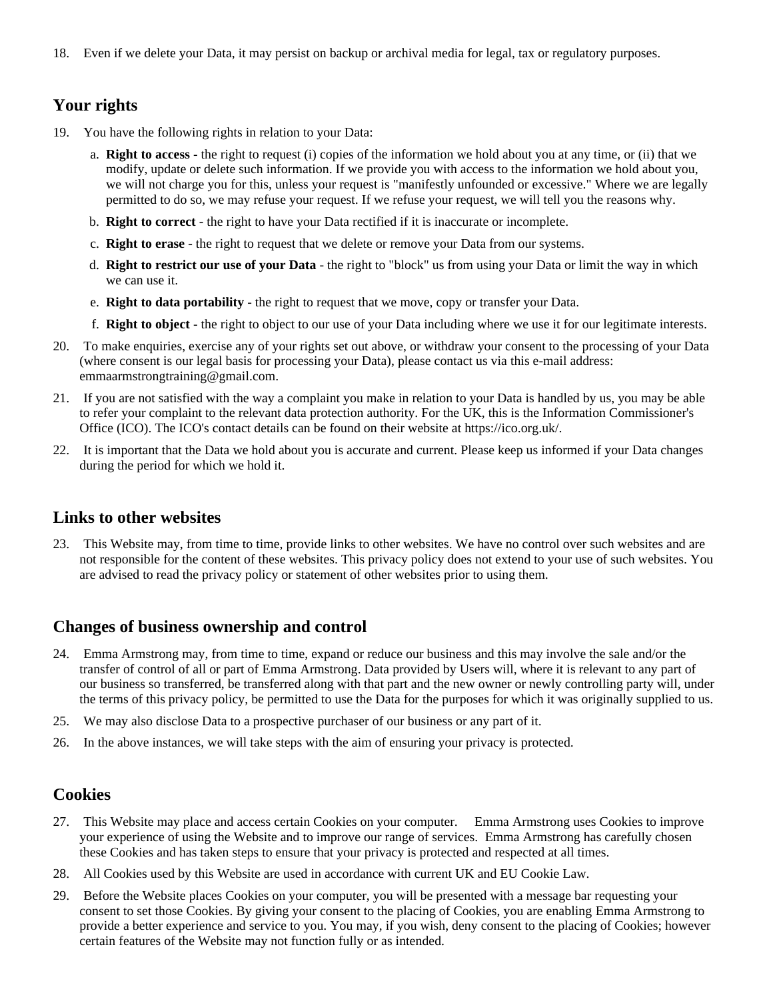18. Even if we delete your Data, it may persist on backup or archival media for legal, tax or regulatory purposes.

## **Your rights**

- 19. You have the following rights in relation to your Data:
	- a. **Right to access** the right to request (i) copies of the information we hold about you at any time, or (ii) that we modify, update or delete such information. If we provide you with access to the information we hold about you, we will not charge you for this, unless your request is "manifestly unfounded or excessive." Where we are legally permitted to do so, we may refuse your request. If we refuse your request, we will tell you the reasons why.
	- b. **Right to correct** the right to have your Data rectified if it is inaccurate or incomplete.
	- c. **Right to erase** the right to request that we delete or remove your Data from our systems.
	- d. **Right to restrict our use of your Data** the right to "block" us from using your Data or limit the way in which we can use it.
	- e. **Right to data portability** the right to request that we move, copy or transfer your Data.
	- f. **Right to object** the right to object to our use of your Data including where we use it for our legitimate interests.
- 20. To make enquiries, exercise any of your rights set out above, or withdraw your consent to the processing of your Data (where consent is our legal basis for processing your Data), please contact us via this e-mail address: emmaarmstrongtraining@gmail.com.
- 21. If you are not satisfied with the way a complaint you make in relation to your Data is handled by us, you may be able to refer your complaint to the relevant data protection authority. For the UK, this is the Information Commissioner's Office (ICO). The ICO's contact details can be found on their website at https://ico.org.uk/.
- 22. It is important that the Data we hold about you is accurate and current. Please keep us informed if your Data changes during the period for which we hold it.

#### **Links to other websites**

23. This Website may, from time to time, provide links to other websites. We have no control over such websites and are not responsible for the content of these websites. This privacy policy does not extend to your use of such websites. You are advised to read the privacy policy or statement of other websites prior to using them.

#### **Changes of business ownership and control**

- 24. Emma Armstrong may, from time to time, expand or reduce our business and this may involve the sale and/or the transfer of control of all or part of Emma Armstrong. Data provided by Users will, where it is relevant to any part of our business so transferred, be transferred along with that part and the new owner or newly controlling party will, under the terms of this privacy policy, be permitted to use the Data for the purposes for which it was originally supplied to us.
- 25. We may also disclose Data to a prospective purchaser of our business or any part of it.
- 26. In the above instances, we will take steps with the aim of ensuring your privacy is protected.

#### **Cookies**

- 27. This Website may place and access certain Cookies on your computer. Emma Armstrong uses Cookies to improve your experience of using the Website and to improve our range of services. Emma Armstrong has carefully chosen these Cookies and has taken steps to ensure that your privacy is protected and respected at all times.
- 28. All Cookies used by this Website are used in accordance with current UK and EU Cookie Law.
- 29. Before the Website places Cookies on your computer, you will be presented with a message bar requesting your consent to set those Cookies. By giving your consent to the placing of Cookies, you are enabling Emma Armstrong to provide a better experience and service to you. You may, if you wish, deny consent to the placing of Cookies; however certain features of the Website may not function fully or as intended.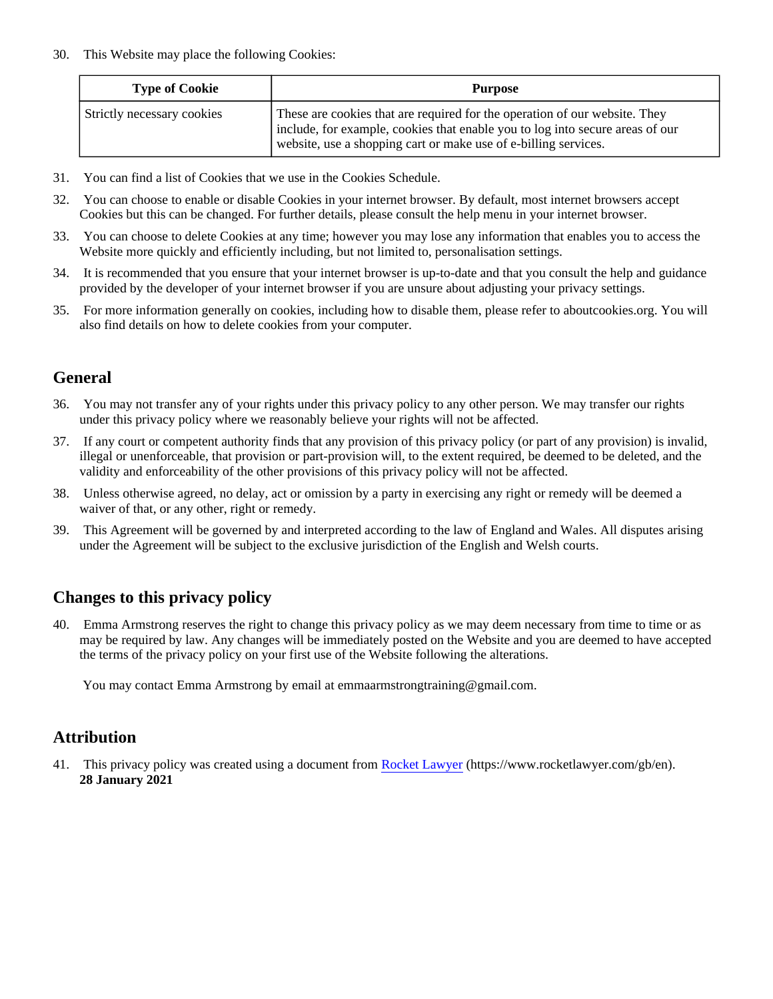30. This Website may place the following Cookies:

| <b>Type of Cookie</b>      | <b>Purpose</b>                                                                                                                                                                                                                 |
|----------------------------|--------------------------------------------------------------------------------------------------------------------------------------------------------------------------------------------------------------------------------|
| Strictly necessary cookies | These are cookies that are required for the operation of our website. They<br>include, for example, cookies that enable you to log into secure areas of our<br>website, use a shopping cart or make use of e-billing services. |

- 31. You can find a list of Cookies that we use in the Cookies Schedule.
- 32. You can choose to enable or disable Cookies in your internet browser. By default, most internet browsers accept Cookies but this can be changed. For further details, please consult the help menu in your internet browser.
- 33. You can choose to delete Cookies at any time; however you may lose any information that enables you to access the Website more quickly and efficiently including, but not limited to, personalisation settings.
- 34. It is recommended that you ensure that your internet browser is up-to-date and that you consult the help and guidance provided by the developer of your internet browser if you are unsure about adjusting your privacy settings.
- 35. For more information generally on cookies, including how to disable them, please refer to aboutcookies.org. You will also find details on how to delete cookies from your computer.

## **General**

- 36. You may not transfer any of your rights under this privacy policy to any other person. We may transfer our rights under this privacy policy where we reasonably believe your rights will not be affected.
- 37. If any court or competent authority finds that any provision of this privacy policy (or part of any provision) is invalid, illegal or unenforceable, that provision or part-provision will, to the extent required, be deemed to be deleted, and the validity and enforceability of the other provisions of this privacy policy will not be affected.
- 38. Unless otherwise agreed, no delay, act or omission by a party in exercising any right or remedy will be deemed a waiver of that, or any other, right or remedy.
- 39. This Agreement will be governed by and interpreted according to the law of England and Wales. All disputes arising under the Agreement will be subject to the exclusive jurisdiction of the English and Welsh courts.

## **Changes to this privacy policy**

40. Emma Armstrong reserves the right to change this privacy policy as we may deem necessary from time to time or as may be required by law. Any changes will be immediately posted on the Website and you are deemed to have accepted the terms of the privacy policy on your first use of the Website following the alterations.

You may contact Emma Armstrong by email at emmaarmstrongtraining $\omega$ gmail.com.

## **Attribution**

41. This privacy policy was created using a document from [Rocket Lawyer](https://www.rocketlawyer.com/gb/en/) (https://www.rocketlawyer.com/gb/en). **28 January 2021**